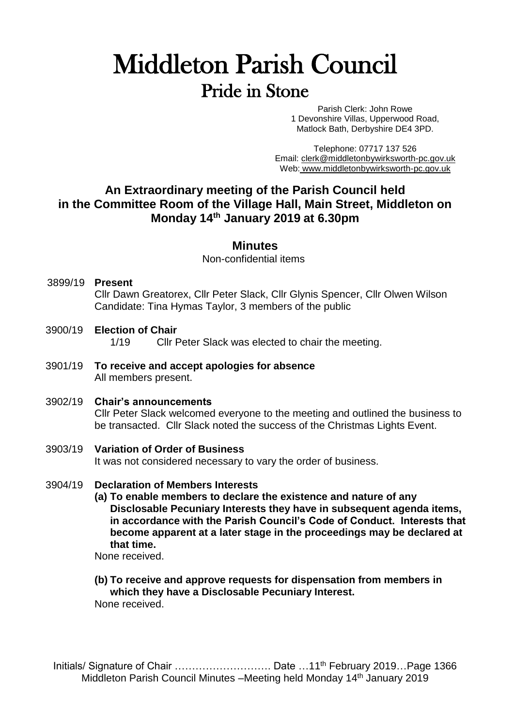# Middleton Parish Council Pride in Stone

Parish Clerk: John Rowe 1 Devonshire Villas, Upperwood Road, Matlock Bath, Derbyshire DE4 3PD.

Telephone: 07717 137 526 Email: [clerk@middletonbywirksworth-pc.gov.uk](mailto:clerk@middletonbywirksworth-pc.gov.uk) Web: [www.middletonbywirksworth-pc.gov.uk](http://www.middletonbywirksworth-pc.gov.uk/)

### **An Extraordinary meeting of the Parish Council held in the Committee Room of the Village Hall, Main Street, Middleton on Monday 14th January 2019 at 6.30pm**

#### **Minutes**

Non-confidential items

- 3899/19 **Present** Cllr Dawn Greatorex, Cllr Peter Slack, Cllr Glynis Spencer, Cllr Olwen Wilson Candidate: Tina Hymas Taylor, 3 members of the public
- 3900/19 **Election of Chair** 1/19 Cllr Peter Slack was elected to chair the meeting.
- 3901/19 **To receive and accept apologies for absence** All members present.
- 3902/19 **Chair's announcements** Cllr Peter Slack welcomed everyone to the meeting and outlined the business to be transacted. Cllr Slack noted the success of the Christmas Lights Event.

#### 3903/19 **Variation of Order of Business** It was not considered necessary to vary the order of business.

#### 3904/19 **Declaration of Members Interests**

**(a) To enable members to declare the existence and nature of any Disclosable Pecuniary Interests they have in subsequent agenda items, in accordance with the Parish Council's Code of Conduct. Interests that become apparent at a later stage in the proceedings may be declared at that time.**

None received.

## **(b) To receive and approve requests for dispensation from members in which they have a Disclosable Pecuniary Interest.**

None received.

Initials/ Signature of Chair ……………………………………… Date …11<sup>th</sup> February 2019…Page 1366 Middleton Parish Council Minutes -Meeting held Monday 14<sup>th</sup> January 2019